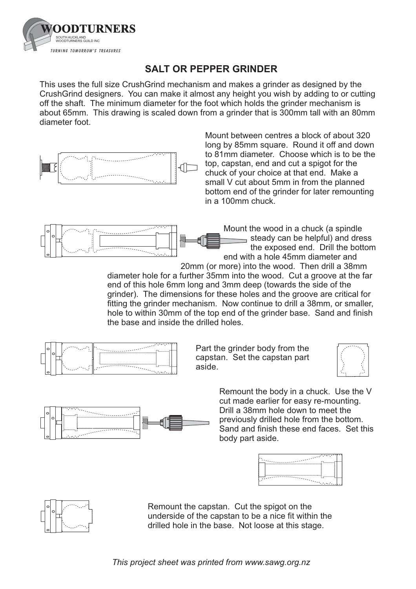

## **SALT OR PEPPER GRINDER**

This uses the full size CrushGrind mechanism and makes a grinder as designed by the CrushGrind designers. You can make it almost any height you wish by adding to or cutting off the shaft. The minimum diameter for the foot which holds the grinder mechanism is about 65mm. This drawing is scaled down from a grinder that is 300mm tall with an 80mm diameter foot.



Mount between centres a block of about 320 long by 85mm square. Round it off and down to 81mm diameter. Choose which is to be the top, capstan, end and cut a spigot for the chuck of your choice at that end. Make a small V cut about 5mm in from the planned bottom end of the grinder for later remounting in a 100mm chuck.



Mount the wood in a chuck (a spindle steady can be helpful) and dress the exposed end. Drill the bottom end with a hole 45mm diameter and

20mm (or more) into the wood. Then drill a 38mm diameter hole for a further 35mm into the wood. Cut a groove at the far end of this hole 6mm long and 3mm deep (towards the side of the grinder). The dimensions for these holes and the groove are critical for fitting the grinder mechanism. Now continue to drill a 38mm, or smaller, hole to within 30mm of the top end of the grinder base. Sand and finish the base and inside the drilled holes.



Part the grinder body from the capstan. Set the capstan part aside.



Remount the body in a chuck. Use the V cut made earlier for easy re-mounting. Drill a 38mm hole down to meet the previously drilled hole from the bottom. Sand and finish these end faces. Set this body part aside.





Remount the capstan. Cut the spigot on the underside of the capstan to be a nice fit within the drilled hole in the base. Not loose at this stage.